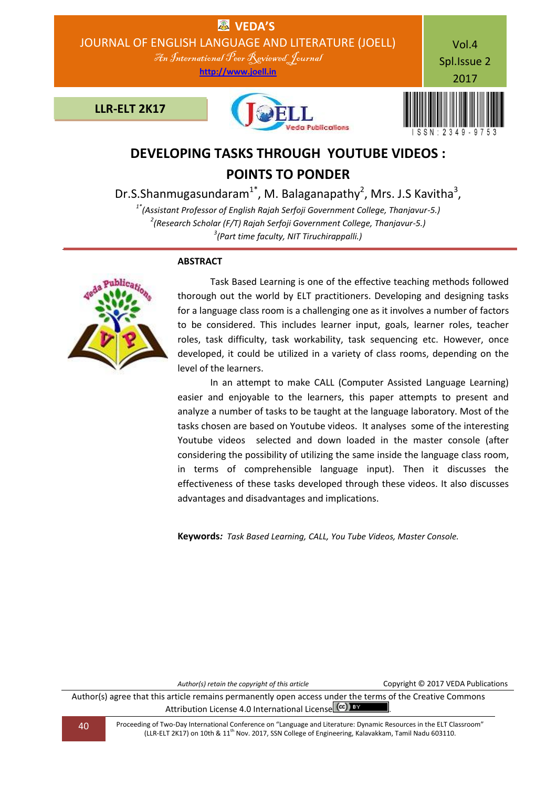

# **DEVELOPING TASKS THROUGH YOUTUBE VIDEOS : POINTS TO PONDER**

Dr.S.Shanmugasundaram<sup>1\*</sup>, M. Balaganapathy<sup>2</sup>, Mrs. J.S Kavitha<sup>3</sup>,

*1\*(Assistant Professor of English Rajah Serfoji Government College, Thanjavur-5.) 2 (Research Scholar (F/T) Rajah Serfoji Government College, Thanjavur-5.) 3 (Part time faculty, NIT Tiruchirappalli.)*

## **ABSTRACT**

 Task Based Learning is one of the effective teaching methods followed thorough out the world by ELT practitioners. Developing and designing tasks for a language class room is a challenging one as it involves a number of factors to be considered. This includes learner input, goals, learner roles, teacher roles, task difficulty, task workability, task sequencing etc. However, once developed, it could be utilized in a variety of class rooms, depending on the level of the learners.

 In an attempt to make CALL (Computer Assisted Language Learning) easier and enjoyable to the learners, this paper attempts to present and analyze a number of tasks to be taught at the language laboratory. Most of the tasks chosen are based on Youtube videos. It analyses some of the interesting Youtube videos selected and down loaded in the master console (after considering the possibility of utilizing the same inside the language class room, in terms of comprehensible language input). Then it discusses the effectiveness of these tasks developed through these videos. It also discusses advantages and disadvantages and implications.

**Keywords***: Task Based Learning, CALL, You Tube Videos, Master Console.*

*Author(s) retain the copyright of this article* Copyright © 2017 VEDA Publications

Author(s) agree that this article remains permanently open access under the terms of the Creative Commons Attribution License 4.0 International License  $\left(\alpha c\right)$  **BY** 

40 Proceeding of Two-Day International Conference on "Language and Literature: Dynamic Resources in the ELT Classroom" (LLR-ELT 2K17) on 10th & 11th Nov. 2017, SSN College of Engineering, Kalavakkam, Tamil Nadu 603110.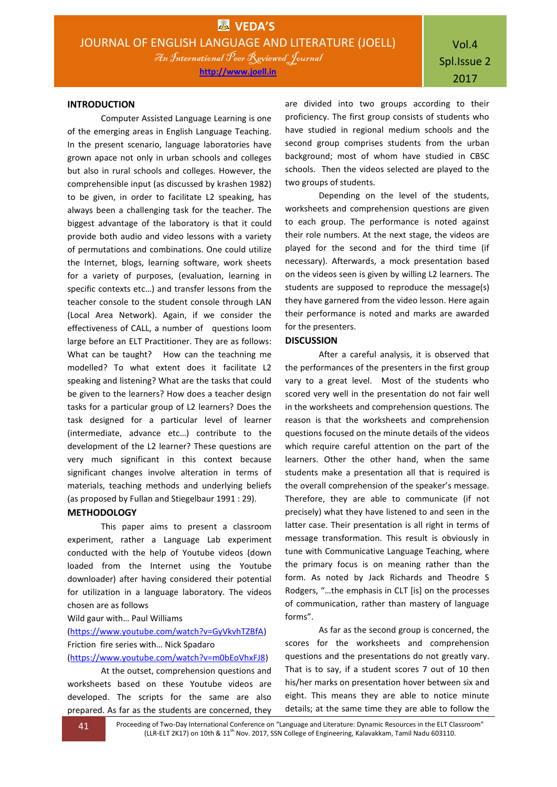#### **INTRODUCTION**

Computer Assisted Language Learning is one of the emerging areas in English Language Teaching. In the present scenario, language laboratories have grown apace not only in urban schools and colleges but also in rural schools and colleges. However, the comprehensible input (as discussed by krashen 1982) to be given, in order to facilitate L2 speaking, has always been a challenging task for the teacher. The biggest advantage of the laboratory is that it could provide both audio and video lessons with a variety of permutations and combinations. One could utilize the Internet, blogs, learning software, work sheets for a variety of purposes, (evaluation, learning in specific contexts etc…) and transfer lessons from the teacher console to the student console through LAN (Local Area Network). Again, if we consider the effectiveness of CALL, a number of questions loom large before an ELT Practitioner. They are as follows: What can be taught? How can the teachning me modelled? To what extent does it facilitate L2 speaking and listening? What are the tasks that could be given to the learners? How does a teacher design tasks for a particular group of L2 learners? Does the task designed for a particular level of learner (intermediate, advance etc…) contribute to the development of the L2 learner? These questions are very much significant in this context because significant changes involve alteration in terms of materials, teaching methods and underlying beliefs (as proposed by Fullan and Stiegelbaur 1991 : 29).

#### **METHODOLOGY**

This paper aims to present a classroom experiment, rather a Language Lab experiment conducted with the help of Youtube videos (down loaded from the Internet using the Youtube downloader) after having considered their potential for utilization in a language laboratory. The videos chosen are as follows

#### Wild gaur with… Paul Williams

[\(https://www.youtube.com/watch?v=GyVkvhTZBfA\)](https://www.youtube.com/watch?v=GyVkvhTZBfA) Friction fire series with… Nick Spadaro

#### [\(https://www.youtube.com/watch?v=m0bEoVhxFJ8\)](https://www.youtube.com/watch?v=m0bEoVhxFJ8)

At the outset, comprehension questions and worksheets based on these Youtube videos are developed. The scripts for the same are also prepared. As far as the students are concerned, they are divided into two groups according to their proficiency. The first group consists of students who have studied in regional medium schools and the second group comprises students from the urban background; most of whom have studied in CBSC schools. Then the videos selected are played to the two groups of students.

Depending on the level of the students, worksheets and comprehension questions are given to each group. The performance is noted against their role numbers. At the next stage, the videos are played for the second and for the third time (if necessary). Afterwards, a mock presentation based on the videos seen is given by willing L2 learners. The students are supposed to reproduce the message(s) they have garnered from the video lesson. Here again their performance is noted and marks are awarded for the presenters.

#### **DISCUSSION**

After a careful analysis, it is observed that the performances of the presenters in the first group vary to a great level. Most of the students who scored very well in the presentation do not fair well in the worksheets and comprehension questions. The reason is that the worksheets and comprehension questions focused on the minute details of the videos which require careful attention on the part of the learners. Other the other hand, when the same students make a presentation all that is required is the overall comprehension of the speaker's message. Therefore, they are able to communicate (if not precisely) what they have listened to and seen in the latter case. Their presentation is all right in terms of message transformation. This result is obviously in tune with Communicative Language Teaching, where the primary focus is on meaning rather than the form. As noted by Jack Richards and Theodre S Rodgers, "…the emphasis in CLT [is] on the processes of communication, rather than mastery of language forms".

As far as the second group is concerned, the scores for the worksheets and comprehension questions and the presentations do not greatly vary. That is to say, if a student scores 7 out of 10 then his/her marks on presentation hover between six and eight. This means they are able to notice minute details; at the same time they are able to follow the